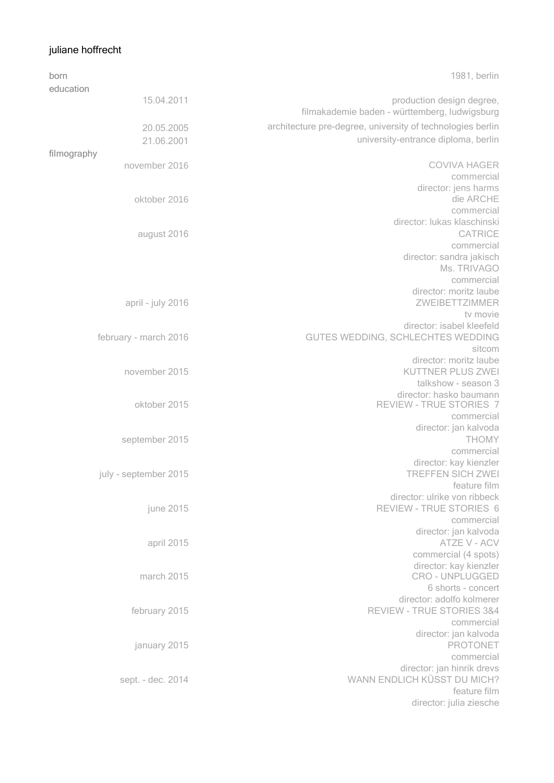## juliane hoffrecht

| born        |                                | 1981, berlin                                               |
|-------------|--------------------------------|------------------------------------------------------------|
| education   |                                |                                                            |
|             | 15.04.2011                     | production design degree,                                  |
|             |                                | filmakademie baden - württemberg, ludwigsburg              |
|             | 20.05.2005                     | architecture pre-degree, university of technologies berlin |
|             | 21.06.2001                     | university-entrance diploma, berlin                        |
| filmography |                                |                                                            |
|             | november 2016                  | <b>COVIVA HAGER</b>                                        |
|             |                                | commercial                                                 |
|             |                                | director: jens harms                                       |
|             | oktober 2016                   | die ARCHE                                                  |
|             |                                | commercial                                                 |
|             |                                | director: lukas klaschinski                                |
|             | august 2016                    | <b>CATRICE</b>                                             |
|             |                                | commercial                                                 |
|             |                                | director: sandra jakisch                                   |
|             |                                | Ms. TRIVAGO                                                |
|             |                                | commercial<br>director: moritz laube                       |
|             | april - july 2016              | ZWEIBETTZIMMER                                             |
|             |                                | tv movie                                                   |
|             |                                | director: isabel kleefeld                                  |
|             | february - march 2016          | GUTES WEDDING, SCHLECHTES WEDDING                          |
|             |                                | sitcom                                                     |
|             |                                | director: moritz laube                                     |
|             | november 2015                  | KUTTNER PLUS ZWEI                                          |
|             |                                | talkshow - season 3                                        |
|             |                                | director: hasko baumann                                    |
|             | oktober 2015<br>september 2015 | REVIEW - TRUE STORIES 7                                    |
|             |                                | commercial                                                 |
|             |                                | director: jan kalvoda<br><b>THOMY</b>                      |
|             |                                | commercial                                                 |
|             |                                | director: kay kienzler                                     |
|             | july - september 2015          | <b>TREFFEN SICH ZWEI</b>                                   |
|             |                                | feature film                                               |
|             |                                | director: ulrike von ribbeck                               |
|             | june 2015                      | REVIEW - TRUE STORIES 6                                    |
|             |                                | commercial                                                 |
|             |                                | director: jan kalvoda                                      |
|             | april 2015                     | ATZE V - ACV                                               |
|             |                                | commercial (4 spots)                                       |
|             | march 2015                     | director: kay kienzler<br>CRO - UNPLUGGED                  |
|             |                                | 6 shorts - concert                                         |
|             |                                | director: adolfo kolmerer                                  |
|             | february 2015                  | REVIEW - TRUE STORIES 3&4                                  |
|             |                                | commercial                                                 |
|             | january 2015                   | director: jan kalvoda                                      |
|             |                                | <b>PROTONET</b>                                            |
|             |                                | commercial                                                 |
|             |                                | director: jan hinrik drevs                                 |
|             | sept. - dec. 2014              | WANN ENDLICH KÜSST DU MICH?                                |
|             |                                | feature film                                               |
|             |                                | director: julia ziesche                                    |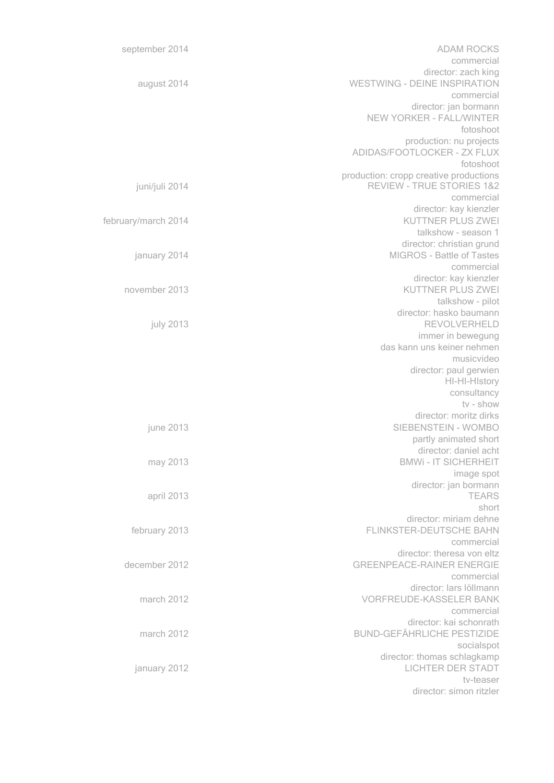| <b>ADAM ROCKS</b>                                | september 2014      |
|--------------------------------------------------|---------------------|
| commercial                                       |                     |
| director: zach king                              |                     |
| <b>WESTWING - DEINE INSPIRATION</b>              | august 2014         |
| commercial<br>director: jan bormann              |                     |
| NEW YORKER - FALL/WINTER                         |                     |
| fotoshoot                                        |                     |
| production: nu projects                          |                     |
| ADIDAS/FOOTLOCKER - ZX FLUX                      |                     |
| fotoshoot                                        |                     |
| production: cropp creative productions           |                     |
| <b>REVIEW - TRUE STORIES 1&amp;2</b>             | juni/juli 2014      |
| commercial                                       |                     |
| director: kay kienzler                           |                     |
| KUTTNER PLUS ZWEI                                | february/march 2014 |
| talkshow - season 1<br>director: christian grund |                     |
| <b>MIGROS - Battle of Tastes</b>                 | january 2014        |
| commercial                                       |                     |
| director: kay kienzler                           |                     |
| <b>KUTTNER PLUS ZWEI</b>                         | november 2013       |
| talkshow - pilot                                 |                     |
| director: hasko baumann                          |                     |
| REVOLVERHELD                                     | july 2013           |
| immer in bewegung                                |                     |
| das kann uns keiner nehmen                       |                     |
| musicvideo                                       |                     |
| director: paul gerwien<br>HI-HI-HIstory          |                     |
| consultancy                                      |                     |
| tv - show                                        |                     |
| director: moritz dirks                           |                     |
| SIEBENSTEIN - WOMBO                              | june 2013           |
| partly animated short                            |                     |
| director: daniel acht                            |                     |
| <b>BMWi-IT SICHERHEIT</b>                        | may 2013            |
| image spot                                       |                     |
| director: jan bormann<br><b>TEARS</b>            |                     |
| short                                            | april 2013          |
| director: miriam dehne                           |                     |
| <b>FLINKSTER-DEUTSCHE BAHN</b>                   | february 2013       |
| commercial                                       |                     |
| director: theresa von eltz                       |                     |
| <b>GREENPEACE-RAINER ENERGIE</b>                 | december 2012       |
| commercial                                       |                     |
| director: lars löllmann                          |                     |
| <b>VORFREUDE-KASSELER BANK</b>                   | march 2012          |
| commercial<br>director: kai schonrath            |                     |
| <b>BUND-GEFÄHRLICHE PESTIZIDE</b>                | march 2012          |
| socialspot                                       |                     |
| director: thomas schlagkamp                      |                     |
| LICHTER DER STADT                                | january 2012        |
| tv-teaser                                        |                     |
| director: simon ritzler                          |                     |